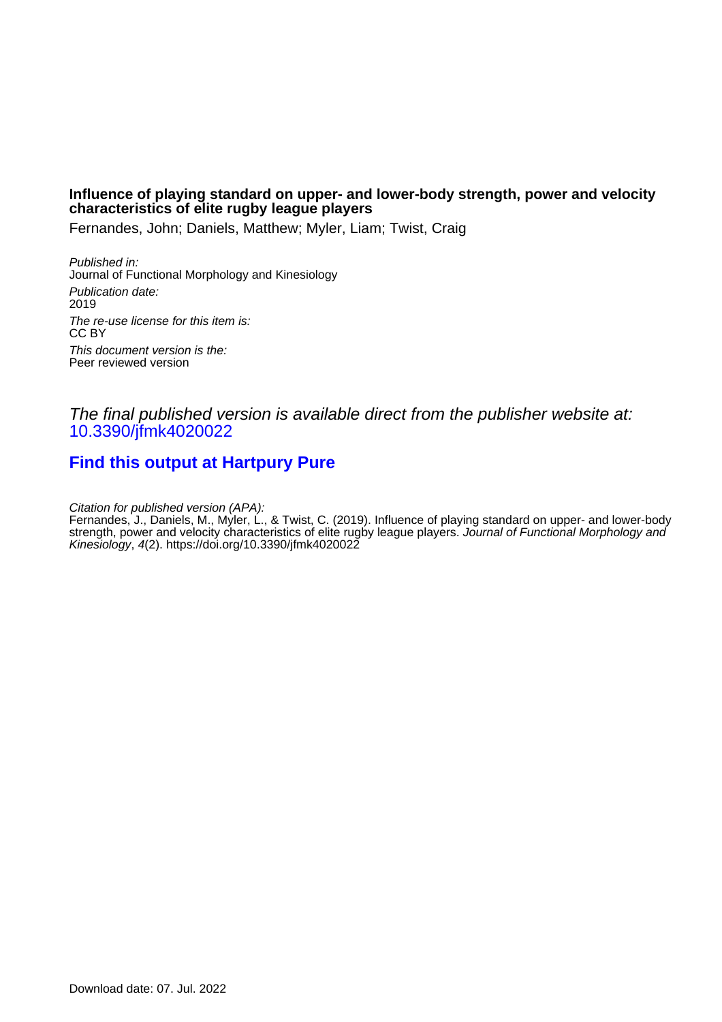# **Influence of playing standard on upper- and lower-body strength, power and velocity characteristics of elite rugby league players**

Fernandes, John; Daniels, Matthew; Myler, Liam; Twist, Craig

Published in: Journal of Functional Morphology and Kinesiology Publication date: 2019 The re-use license for this item is: CC BY This document version is the: Peer reviewed version

# The final published version is available direct from the publisher website at: [10.3390/jfmk4020022](https://doi.org/10.3390/jfmk4020022)

# **[Find this output at Hartpury Pure](https://hartpury.pure.elsevier.com/en/publications/b1bdf909-d3bc-447e-ab96-9bc5fdeb8168)**

Citation for published version (APA):

Fernandes, J., Daniels, M., Myler, L., & Twist, C. (2019). Influence of playing standard on upper- and lower-body strength, power and velocity characteristics of elite rugby league players. Journal of Functional Morphology and Kinesiology, 4(2).<https://doi.org/10.3390/jfmk4020022>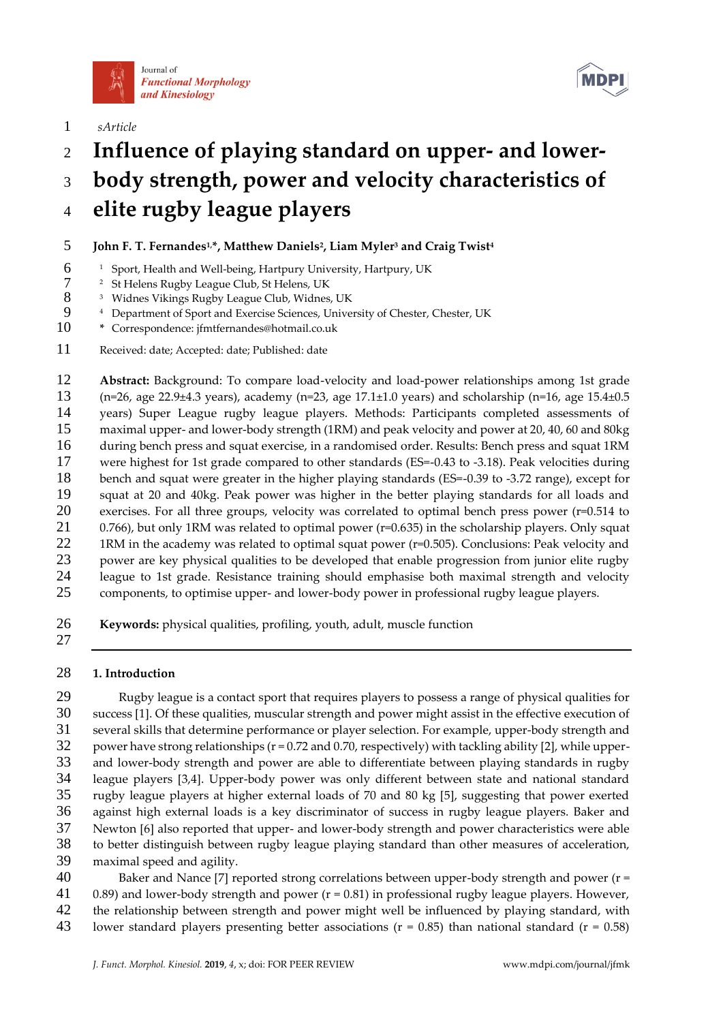



*sArticle*

- **Influence of playing standard on upper- and lower-**
- **body strength, power and velocity characteristics of**

# **elite rugby league players**

# **John F. T. Fernandes1,\*, Matthew Daniels<sup>2</sup> , Liam Myler<sup>3</sup> and Craig Twist <sup>4</sup>**

- <sup>1</sup> Sport, Health and Well-being, Hartpury University, Hartpury, UK
- <sup>2</sup> St Helens Rugby League Club, St Helens, UK<br>8<sup>3</sup> Widnes Vikings Rugby League Club, Widnes
- 8 <sup>3</sup> Widnes Vikings Rugby League Club, Widnes, UK<br>9 <sup>4</sup> Department of Sport and Exercise Sciences. Univer
- <sup>4</sup> Department of Sport and Exercise Sciences, University of Chester, Chester, UK
- **\*** Correspondence: jfmtfernandes@hotmail.co.uk
- Received: date; Accepted: date; Published: date

 **Abstract:** Background: To compare load-velocity and load-power relationships among 1st grade (n=26, age 22.9±4.3 years), academy (n=23, age 17.1±1.0 years) and scholarship (n=16, age 15.4±0.5 years) Super League rugby league players. Methods: Participants completed assessments of maximal upper- and lower-body strength (1RM) and peak velocity and power at 20, 40, 60 and 80kg during bench press and squat exercise, in a randomised order. Results: Bench press and squat 1RM were highest for 1st grade compared to other standards (ES=-0.43 to -3.18). Peak velocities during bench and squat were greater in the higher playing standards (ES=-0.39 to -3.72 range), except for squat at 20 and 40kg. Peak power was higher in the better playing standards for all loads and exercises. For all three groups, velocity was correlated to optimal bench press power (r=0.514 to 21 0.766), but only 1RM was related to optimal power (r=0.635) in the scholarship players. Only squat 1RM in the academy was related to optimal squat power (r=0.505). Conclusions: Peak velocity and 23 power are key physical qualities to be developed that enable progression from junior elite rugby league to 1st grade. Resistance training should emphasise both maximal strength and velocity components, to optimise upper- and lower-body power in professional rugby league players.

- **Keywords:** physical qualities, profiling, youth, adult, muscle function
- 

# **1. Introduction**

 Rugby league is a contact sport that requires players to possess a range of physical qualities for success [1]. Of these qualities, muscular strength and power might assist in the effective execution of several skills that determine performance or player selection. For example, upper-body strength and power have strong relationships (r = 0.72 and 0.70, respectively) with tackling ability [2], while upper- and lower-body strength and power are able to differentiate between playing standards in rugby league players [3,4]. Upper-body power was only different between state and national standard rugby league players at higher external loads of 70 and 80 kg [5], suggesting that power exerted against high external loads is a key discriminator of success in rugby league players. Baker and Newton [6] also reported that upper- and lower-body strength and power characteristics were able to better distinguish between rugby league playing standard than other measures of acceleration, maximal speed and agility.

 Baker and Nance [7] reported strong correlations between upper-body strength and power (r = 0.89) and lower-body strength and power (r = 0.81) in professional rugby league players. However, the relationship between strength and power might well be influenced by playing standard, with lower standard players presenting better associations (r = 0.85) than national standard (r = 0.58)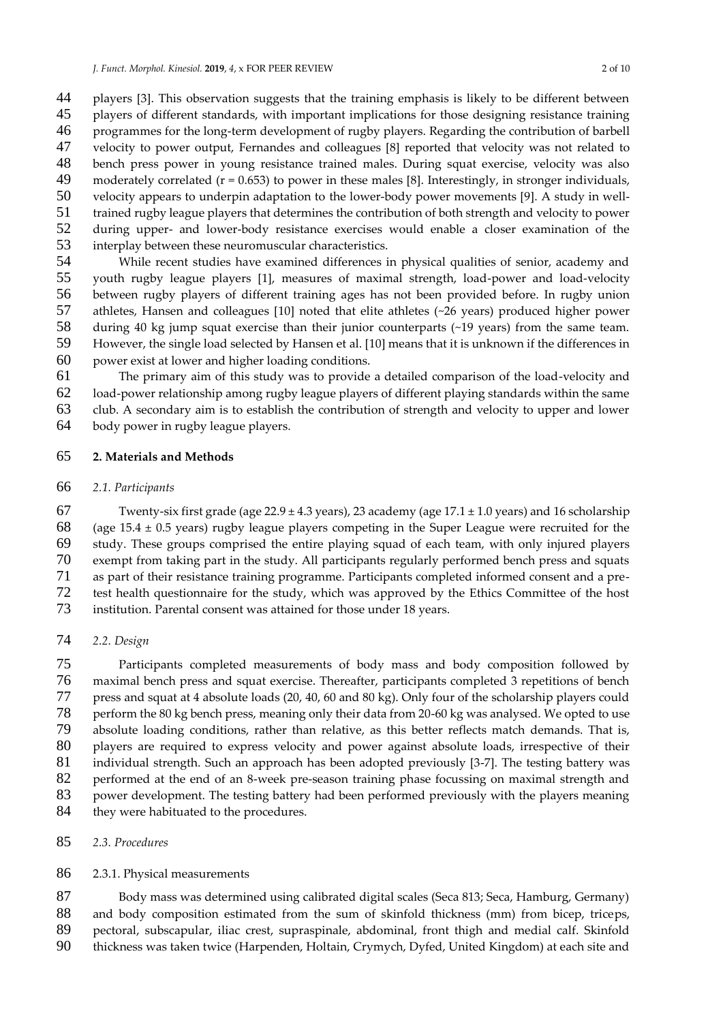44 players [3]. This observation suggests that the training emphasis is likely to be different between<br>45 players of different standards, with important implications for those designing resistance training players of different standards, with important implications for those designing resistance training programmes for the long-term development of rugby players. Regarding the contribution of barbell velocity to power output, Fernandes and colleagues [8] reported that velocity was not related to bench press power in young resistance trained males. During squat exercise, velocity was also 49 moderately correlated ( $r = 0.653$ ) to power in these males [8]. Interestingly, in stronger individuals, velocity appears to underpin adaptation to the lower-body power movements [9]. A study in well- trained rugby league players that determines the contribution of both strength and velocity to power during upper- and lower-body resistance exercises would enable a closer examination of the 53 interplay between these neuromuscular characteristics.<br>54 While recent studies have examined differences in

While recent studies have examined differences in physical qualities of senior, academy and youth rugby league players [1], measures of maximal strength, load-power and load-velocity between rugby players of different training ages has not been provided before. In rugby union 57 athletes, Hansen and colleagues [10] noted that elite athletes (~26 years) produced higher power<br>58 during 40 kg jump squat exercise than their junior counterparts (~19 years) from the same team. 58 during 40 kg jump squat exercise than their junior counterparts (~19 years) from the same team.<br>59 However, the single load selected by Hansen et al. [10] means that it is unknown if the differences in However, the single load selected by Hansen et al. [10] means that it is unknown if the differences in power exist at lower and higher loading conditions.

 The primary aim of this study was to provide a detailed comparison of the load-velocity and load-power relationship among rugby league players of different playing standards within the same club. A secondary aim is to establish the contribution of strength and velocity to upper and lower body power in rugby league players.

#### **2. Materials and Methods**

#### *2.1. Participants*

67 Twenty-six first grade (age  $22.9 \pm 4.3$  years), 23 academy (age  $17.1 \pm 1.0$  years) and 16 scholarship 68 (age  $15.4 \pm 0.5$  years) rugby league players competing in the Super League were recruited for the study. These groups comprised the entire playing squad of each team, with only injured players exempt from taking part in the study. All participants regularly performed bench press and squats as part of their resistance training programme. Participants completed informed consent and a pre-72 test health questionnaire for the study, which was approved by the Ethics Committee of the host<br>73 institution. Parental consent was attained for those under 18 years. institution. Parental consent was attained for those under 18 years.

*2.2. Design*

 Participants completed measurements of body mass and body composition followed by maximal bench press and squat exercise. Thereafter, participants completed 3 repetitions of bench press and squat at 4 absolute loads (20, 40, 60 and 80 kg). Only four of the scholarship players could 78 perform the 80 kg bench press, meaning only their data from 20-60 kg was analysed. We opted to use<br>79 absolute loading conditions, rather than relative, as this better reflects match demands. That is, absolute loading conditions, rather than relative, as this better reflects match demands. That is, players are required to express velocity and power against absolute loads, irrespective of their 81 individual strength. Such an approach has been adopted previously [3-7]. The testing battery was<br>82 performed at the end of an 8-week pre-season training phase focussing on maximal strength and performed at the end of an 8-week pre-season training phase focussing on maximal strength and power development. The testing battery had been performed previously with the players meaning 84 they were habituated to the procedures.

#### *2.3. Procedures*

#### 2.3.1. Physical measurements

 Body mass was determined using calibrated digital scales (Seca 813; Seca, Hamburg, Germany) 88 and body composition estimated from the sum of skinfold thickness (mm) from bicep, triceps, pectoral, subscapular, iliac crest, supraspinale, abdominal, front thigh and medial calf. Skinfold

thickness was taken twice (Harpenden, Holtain, Crymych, Dyfed, United Kingdom) at each site and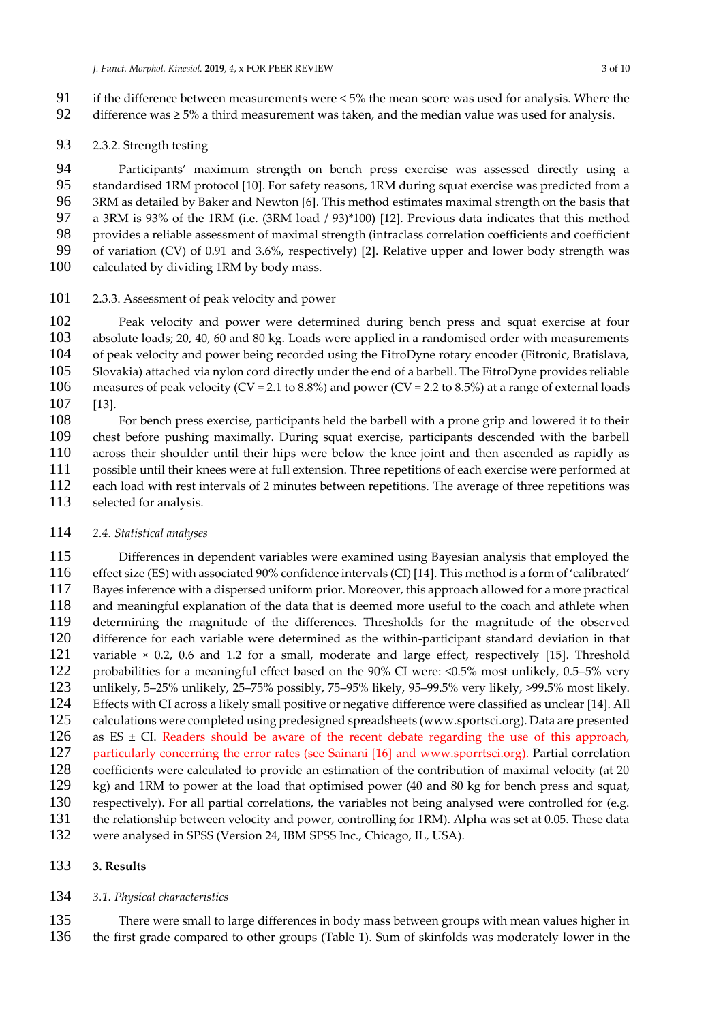- 91 if the difference between measurements were  $< 5\%$  the mean score was used for analysis. Where the difference was  $> 5\%$  a third measurement was taken, and the median value was used for analysis. difference was  $\geq 5\%$  a third measurement was taken, and the median value was used for analysis.
- 2.3.2. Strength testing

 Participants' maximum strength on bench press exercise was assessed directly using a standardised 1RM protocol [10]. For safety reasons, 1RM during squat exercise was predicted from a 3RM as detailed by Baker and Newton [6]. This method estimates maximal strength on the basis that a 3RM is 93% of the 1RM (i.e. (3RM load / 93)\*100) [12]. Previous data indicates that this method 98 provides a reliable assessment of maximal strength (intraclass correlation coefficients and coefficient<br>99 of variation (CV) of 0.91 and 3.6%, respectively) [2]. Relative upper and lower body strength was of variation (CV) of 0.91 and 3.6%, respectively) [2]. Relative upper and lower body strength was 100 calculated by dividing 1RM by body mass.

2.3.3. Assessment of peak velocity and power

 Peak velocity and power were determined during bench press and squat exercise at four absolute loads; 20, 40, 60 and 80 kg. Loads were applied in a randomised order with measurements of peak velocity and power being recorded using the FitroDyne rotary encoder (Fitronic, Bratislava, Slovakia) attached via nylon cord directly under the end of a barbell. The FitroDyne provides reliable 106 measures of peak velocity (CV = 2.1 to 8.8%) and power (CV = 2.2 to 8.5%) at a range of external loads [13].

 For bench press exercise, participants held the barbell with a prone grip and lowered it to their chest before pushing maximally. During squat exercise, participants descended with the barbell across their shoulder until their hips were below the knee joint and then ascended as rapidly as possible until their knees were at full extension. Three repetitions of each exercise were performed at each load with rest intervals of 2 minutes between repetitions. The average of three repetitions was selected for analysis.

#### *2.4. Statistical analyses*

 Differences in dependent variables were examined using Bayesian analysis that employed the effect size (ES) with associated 90% confidence intervals (CI) [14]. This method is a form of 'calibrated' 117 Bayes inference with a dispersed uniform prior. Moreover, this approach allowed for a more practical<br>118 and meaningful explanation of the data that is deemed more useful to the coach and athlete when and meaningful explanation of the data that is deemed more useful to the coach and athlete when determining the magnitude of the differences. Thresholds for the magnitude of the observed difference for each variable were determined as the within-participant standard deviation in that 121 variable × 0.2, 0.6 and 1.2 for a small, moderate and large effect, respectively [15]. Threshold 122 probabilities for a meaningful effect based on the 90% CI were: <0.5% most unlikely, 0.5–5% very unlikely, 5–25% unlikely, 25–75% possibly, 75–95% likely, 95–99.5% very likely, >99.5% most likely. Effects with CI across a likely small positive or negative difference were classified as unclear [14]. All calculations were completed using predesigned spreadsheets (www.sportsci.org). Data are presented 126 as  $ES \pm CI$ . Readers should be aware of the recent debate regarding the use of this approach, 127 particularly concerning the error rates (see Sainani [16] and www.sporrtsci.org). Partial correlation coefficients were calculated to provide an estimation of the contribution of maximal velocity (at 20 kg) and 1RM to power at the load that optimised power (40 and 80 kg for bench press and squat, respectively). For all partial correlations, the variables not being analysed were controlled for (e.g. the relationship between velocity and power, controlling for 1RM). Alpha was set at 0.05. These data were analysed in SPSS (Version 24, IBM SPSS Inc., Chicago, IL, USA).

# **3. Results**

#### *3.1. Physical characteristics*

 There were small to large differences in body mass between groups with mean values higher in the first grade compared to other groups (Table 1). Sum of skinfolds was moderately lower in the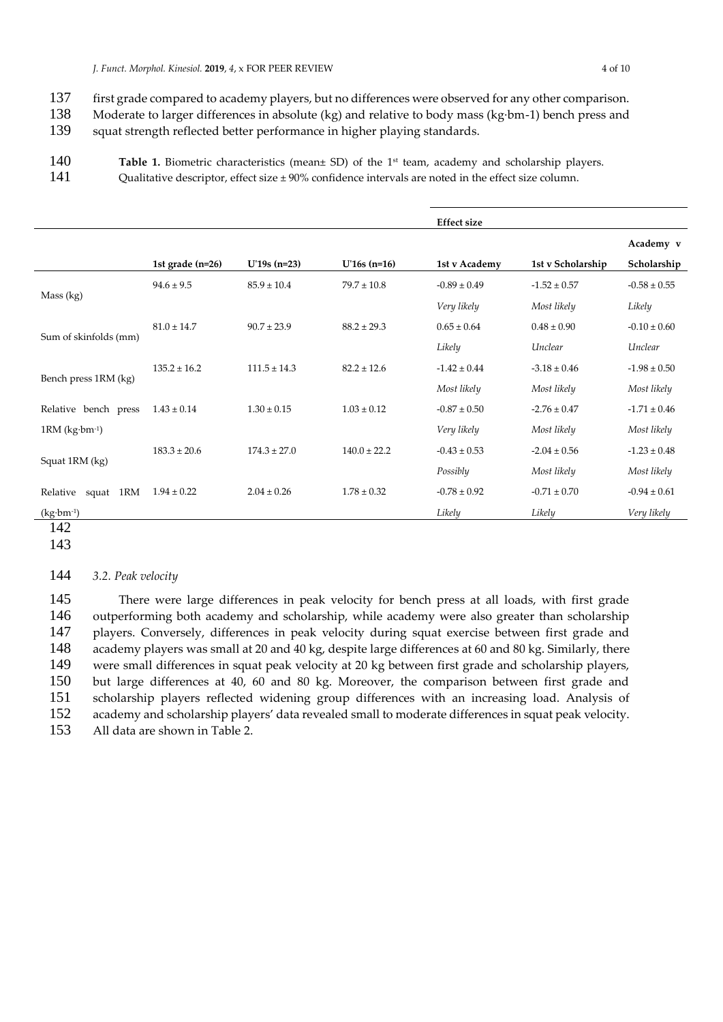*J. Funct. Morphol. Kinesiol.* **2019**, *4*, x FOR PEER REVIEW 4 of 10

- 137 first grade compared to academy players, but no differences were observed for any other comparison.<br>138 Moderate to larger differences in absolute (kg) and relative to body mass (kg·bm-1) bench press and
- Moderate to larger differences in absolute (kg) and relative to body mass (kg·bm-1) bench press and
- 139 squat strength reflected better performance in higher playing standards.
- **Table 1.** Biometric characteristics (mean± SD) of the 1<sup>st</sup> team, academy and scholarship players.
- 141 Qualitative descriptor, effect size ± 90% confidence intervals are noted in the effect size column.

|                                |                    |                  |                  | <b>Effect size</b> |                   |                  |
|--------------------------------|--------------------|------------------|------------------|--------------------|-------------------|------------------|
|                                |                    |                  |                  |                    |                   | Academy v        |
|                                | 1st grade $(n=26)$ | $U'19s$ (n=23)   | $U'16s$ (n=16)   | 1st v Academy      | 1st v Scholarship | Scholarship      |
| Mass (kg)                      | $94.6 \pm 9.5$     | $85.9 \pm 10.4$  | $79.7 \pm 10.8$  | $-0.89 \pm 0.49$   | $-1.52 \pm 0.57$  | $-0.58 \pm 0.55$ |
|                                |                    |                  |                  | Very likely        | Most likely       | Likely           |
| Sum of skinfolds (mm)          | $81.0 \pm 14.7$    | $90.7 \pm 23.9$  | $88.2 \pm 29.3$  | $0.65 \pm 0.64$    | $0.48 \pm 0.90$   | $-0.10 \pm 0.60$ |
|                                |                    |                  |                  | Likely             | Unclear           | Unclear          |
| Bench press 1RM (kg)           | $135.2 \pm 16.2$   | $111.5 \pm 14.3$ | $82.2 \pm 12.6$  | $-1.42 \pm 0.44$   | $-3.18 \pm 0.46$  | $-1.98 \pm 0.50$ |
|                                |                    |                  |                  | Most likely        | Most likely       | Most likely      |
| Relative bench press           | $1.43 \pm 0.14$    | $1.30 \pm 0.15$  | $1.03 \pm 0.12$  | $-0.87 \pm 0.50$   | $-2.76 \pm 0.47$  | $-1.71 \pm 0.46$ |
| $1RM$ (kg $\cdot$ bm $^{-1}$ ) |                    |                  |                  | Very likely        | Most likely       | Most likely      |
| Squat 1RM (kg)                 | $183.3 \pm 20.6$   | $174.3 \pm 27.0$ | $140.0 \pm 22.2$ | $-0.43 \pm 0.53$   | $-2.04 \pm 0.56$  | $-1.23 \pm 0.48$ |
|                                |                    |                  |                  | Possibly           | Most likely       | Most likely      |
| Relative squat 1RM             | $1.94 \pm 0.22$    | $2.04 \pm 0.26$  | $1.78 \pm 0.32$  | $-0.78 \pm 0.92$   | $-0.71 \pm 0.70$  | $-0.94 \pm 0.61$ |
| $(kg \cdot bm^{-1})$           |                    |                  |                  | Likely             | Likely            | Very likely      |

# 142

143

# 144 *3.2. Peak velocity*

145 There were large differences in peak velocity for bench press at all loads, with first grade 146 outperforming both academy and scholarship, while academy were also greater than scholarship<br>147 blayers. Conversely, differences in peak velocity during squat exercise between first grade and players. Conversely, differences in peak velocity during squat exercise between first grade and 148 academy players was small at 20 and 40 kg, despite large differences at 60 and 80 kg. Similarly, there 149 were small differences in squat peak velocity at 20 kg between first grade and scholarship players, 150 but large differences at 40, 60 and 80 kg. Moreover, the comparison between first grade and<br>151 scholarship players reflected widening group differences with an increasing load. Analysis of 151 scholarship players reflected widening group differences with an increasing load. Analysis of academy and scholarship players' data revealed small to moderate differences in squat peak velocity. academy and scholarship players' data revealed small to moderate differences in squat peak velocity. 153 All data are shown in Table 2.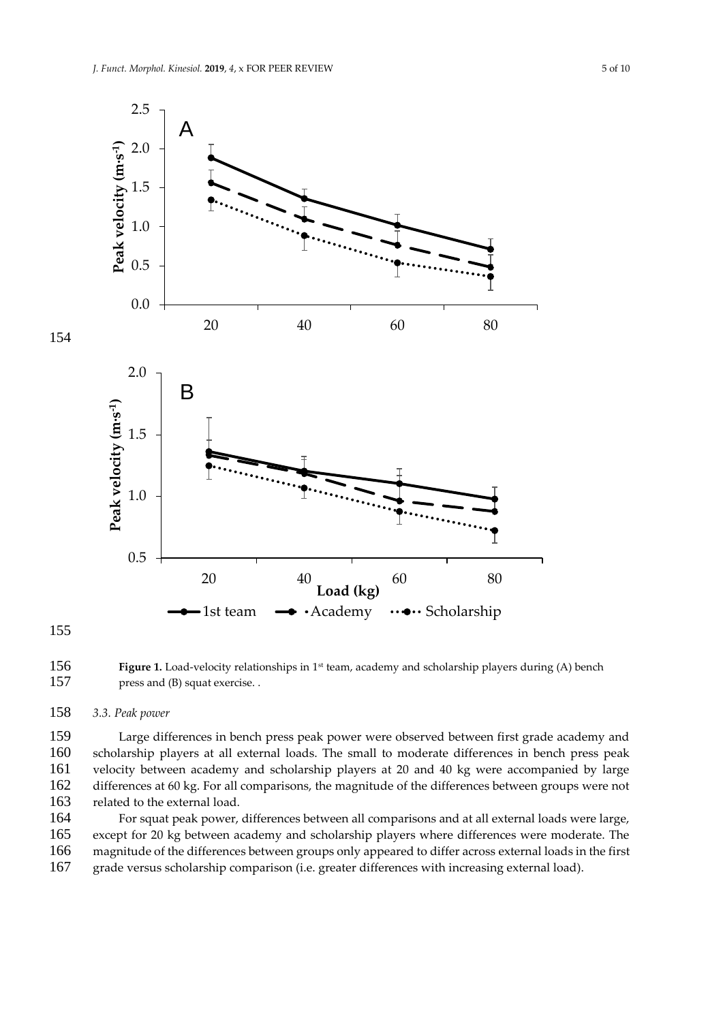

155

154

**Figure 1.** Load-velocity relationships in 1<sup>st</sup> team, academy and scholarship players during (A) bench 157 press and (B) squat exercise. .

#### 158 *3.3. Peak power*

 Large differences in bench press peak power were observed between first grade academy and scholarship players at all external loads. The small to moderate differences in bench press peak velocity between academy and scholarship players at 20 and 40 kg were accompanied by large differences at 60 kg. For all comparisons, the magnitude of the differences between groups were not related to the external load.

164 For squat peak power, differences between all comparisons and at all external loads were large, 165 except for 20 kg between academy and scholarship players where differences were moderate. The 166 magnitude of the differences between groups only appeared to differ across external loads in the first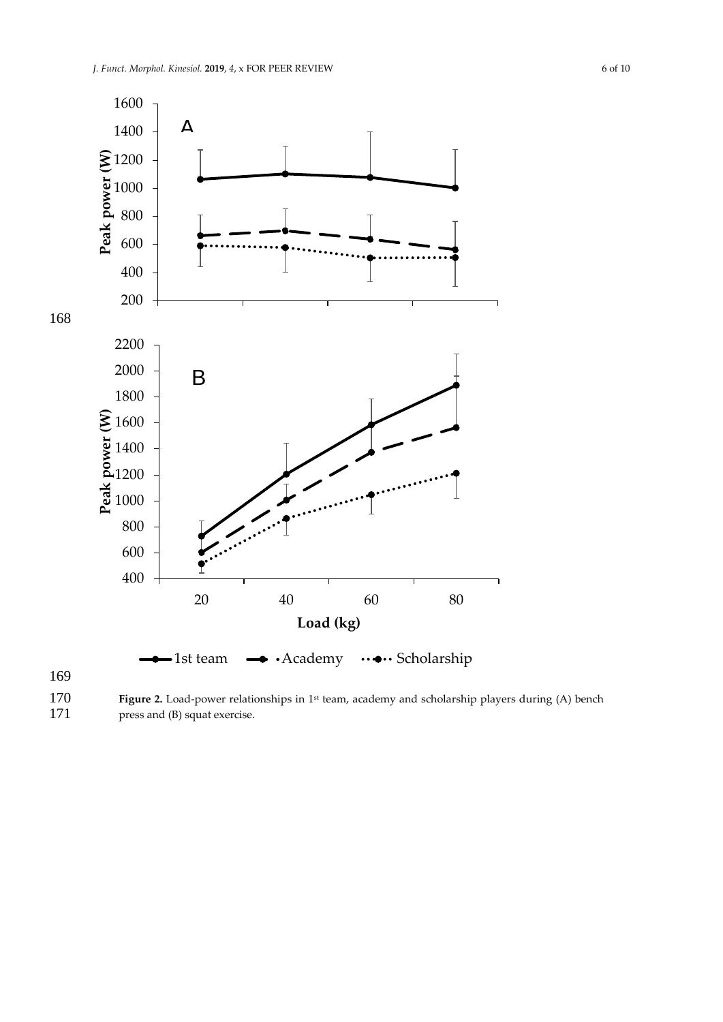

**Figure 2.** Load-power relationships in 1<sup>st</sup> team, academy and scholarship players during (A) bench 171 teams and (B) squat exercise.  $press$  and  $(B)$  squat exercise.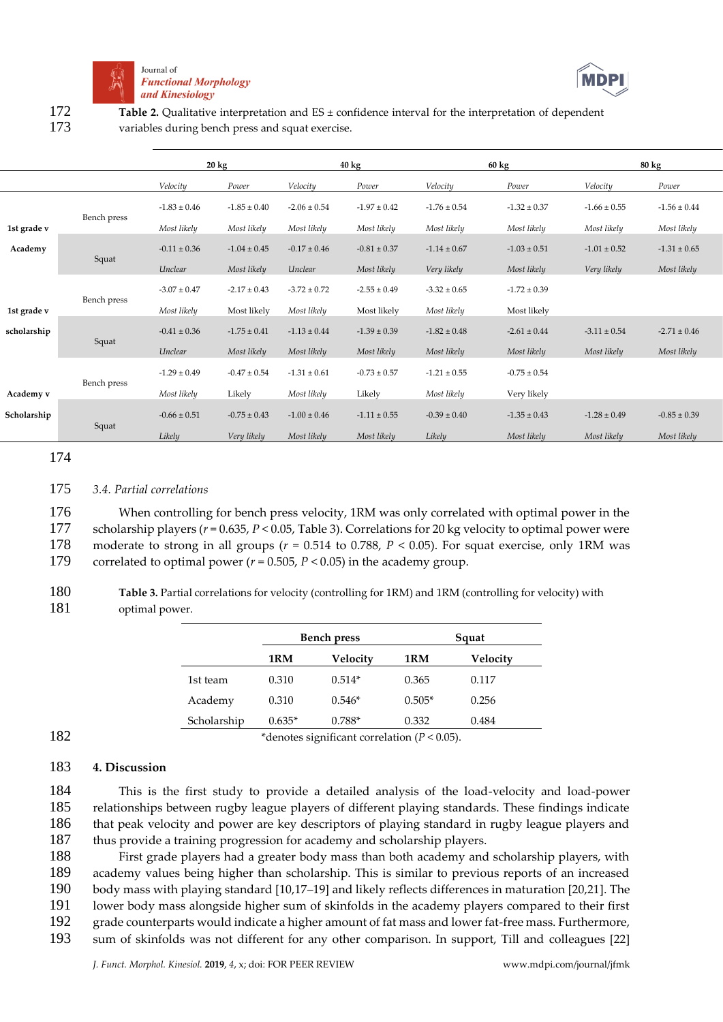



172 Table 2. Qualitative interpretation and ES ± confidence interval for the interpretation of dependent 173 variables during bench press and squat exercise.

|             |             | $20 \text{ kg}$  |                  | $40 \text{ kg}$  |                  | $60 \text{ kg}$  |                  | $80 \text{ kg}$  |                  |
|-------------|-------------|------------------|------------------|------------------|------------------|------------------|------------------|------------------|------------------|
|             |             | Velocity         | Power            | Velocity         | Power            | Velocity         | Power            | Velocity         | Power            |
|             |             | $-1.83 \pm 0.46$ | $-1.85 \pm 0.40$ | $-2.06 \pm 0.54$ | $-1.97 \pm 0.42$ | $-1.76 \pm 0.54$ | $-1.32 \pm 0.37$ | $-1.66 \pm 0.55$ | $-1.56 \pm 0.44$ |
| 1st grade v | Bench press | Most likely      | Most likely      | Most likely      | Most likely      | Most likely      | Most likely      | Most likely      | Most likely      |
| Academy     |             | $-0.11 \pm 0.36$ | $-1.04 \pm 0.45$ | $-0.17 \pm 0.46$ | $-0.81 \pm 0.37$ | $-1.14 \pm 0.67$ | $-1.03 \pm 0.51$ | $-1.01 \pm 0.52$ | $-1.31 \pm 0.65$ |
|             | Squat       | Unclear          | Most likely      | Unclear          | Most likely      | Very likely      | Most likely      | Very likely      | Most likely      |
|             |             | $-3.07 \pm 0.47$ | $-2.17 \pm 0.43$ | $-3.72 \pm 0.72$ | $-2.55 \pm 0.49$ | $-3.32 \pm 0.65$ | $-1.72 \pm 0.39$ |                  |                  |
| 1st grade v | Bench press | Most likely      | Most likely      | Most likely      | Most likely      | Most likely      | Most likely      |                  |                  |
| scholarship | Squat       | $-0.41 \pm 0.36$ | $-1.75 \pm 0.41$ | $-1.13 \pm 0.44$ | $-1.39 \pm 0.39$ | $-1.82 \pm 0.48$ | $-2.61 \pm 0.44$ | $-3.11 \pm 0.54$ | $-2.71 \pm 0.46$ |
|             |             | Unclear          | Most likely      | Most likely      | Most likely      | Most likely      | Most likely      | Most likely      | Most likely      |
|             | Bench press | $-1.29 \pm 0.49$ | $-0.47 \pm 0.54$ | $-1.31 \pm 0.61$ | $-0.73 \pm 0.57$ | $-1.21 \pm 0.55$ | $-0.75 \pm 0.54$ |                  |                  |
| Academy v   |             | Most likely      | Likely           | Most likely      | Likely           | Most likely      | Very likely      |                  |                  |
| Scholarship | Squat       | $-0.66 \pm 0.51$ | $-0.75 \pm 0.43$ | $-1.00 \pm 0.46$ | $-1.11 \pm 0.55$ | $-0.39 \pm 0.40$ | $-1.35 \pm 0.43$ | $-1.28 \pm 0.49$ | $-0.85 \pm 0.39$ |
|             |             | Likely           | Very likely      | Most likely      | Most likely      | Likely           | Most likely      | Most likely      | Most likely      |

#### 174

### 175 *3.4. Partial correlations*

 When controlling for bench press velocity, 1RM was only correlated with optimal power in the scholarship players (*r* = 0.635, *P* < 0.05, Table 3). Correlations for 20 kg velocity to optimal power were moderate to strong in all groups (*r* = 0.514 to 0.788, *P* < 0.05). For squat exercise, only 1RM was correlated to optimal power (*r* = 0.505, *P* < 0.05) in the academy group.

180 **Table 3.** Partial correlations for velocity (controlling for 1RM) and 1RM (controlling for velocity) with 181 optimal power.

| <b>Bench press</b> |          | Squat    |          |  |
|--------------------|----------|----------|----------|--|
| 1RM                | Velocity | 1RM      | Velocity |  |
| 0.310              | $0.514*$ | 0.365    | 0.117    |  |
| 0.310              | $0.546*$ | $0.505*$ | 0.256    |  |
| $0.635*$           | $0.788*$ | 0.332    | 0.484    |  |
|                    |          |          |          |  |

182 \*denotes significant correlation (*P* < 0.05).

#### 183 **4. Discussion**

 This is the first study to provide a detailed analysis of the load-velocity and load-power relationships between rugby league players of different playing standards. These findings indicate that peak velocity and power are key descriptors of playing standard in rugby league players and 187 thus provide a training progression for academy and scholarship players.

 First grade players had a greater body mass than both academy and scholarship players, with academy values being higher than scholarship. This is similar to previous reports of an increased body mass with playing standard [10,17–19] and likely reflects differences in maturation [20,21]. The lower body mass alongside higher sum of skinfolds in the academy players compared to their first grade counterparts would indicate a higher amount of fat mass and lower fat-free mass. Furthermore, sum of skinfolds was not different for any other comparison. In support, Till and colleagues [22]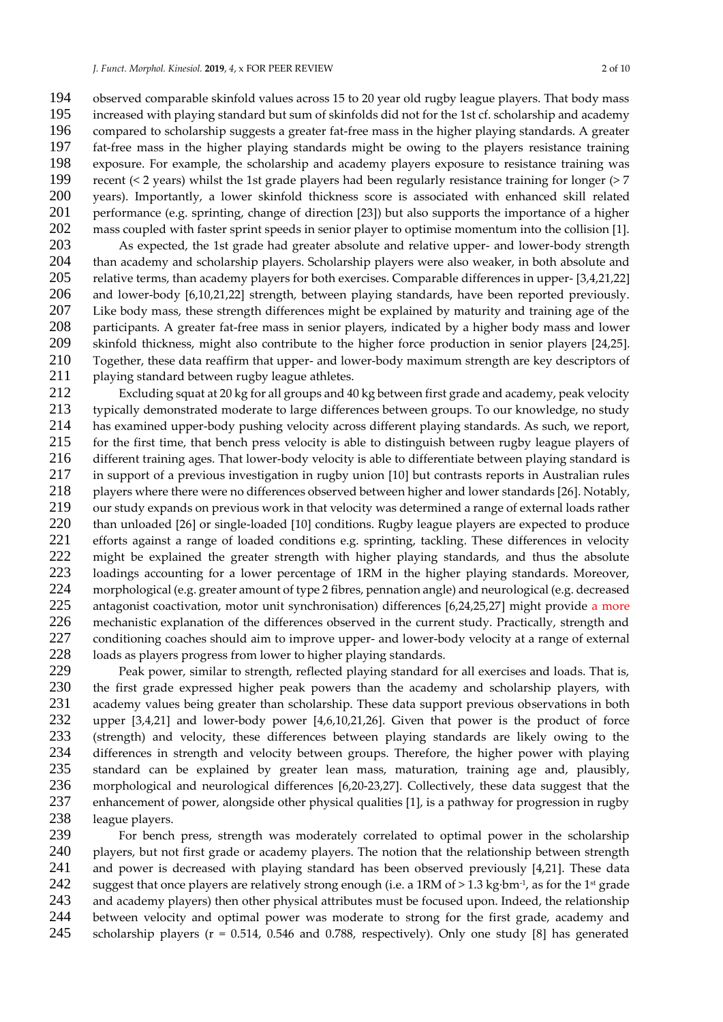observed comparable skinfold values across 15 to 20 year old rugby league players. That body mass increased with playing standard but sum of skinfolds did not for the 1st cf. scholarship and academy compared to scholarship suggests a greater fat-free mass in the higher playing standards. A greater fat-free mass in the higher playing standards might be owing to the players resistance training exposure. For example, the scholarship and academy players exposure to resistance training was recent (< 2 years) whilst the 1st grade players had been regularly resistance training for longer (> 7 years). Importantly, a lower skinfold thickness score is associated with enhanced skill related performance (e.g. sprinting, change of direction [23]) but also supports the importance of a higher mass coupled with faster sprint speeds in senior player to optimise momentum into the collision [1].

 As expected, the 1st grade had greater absolute and relative upper- and lower-body strength than academy and scholarship players. Scholarship players were also weaker, in both absolute and relative terms, than academy players for both exercises. Comparable differences in upper- [3,4,21,22] and lower-body [6,10,21,22] strength, between playing standards, have been reported previously. 207 Like body mass, these strength differences might be explained by maturity and training age of the<br>208 narticipants. A greater fat-free mass in senior players, indicated by a higher body mass and lower participants. A greater fat-free mass in senior players, indicated by a higher body mass and lower skinfold thickness, might also contribute to the higher force production in senior players [24,25]. Together, these data reaffirm that upper- and lower-body maximum strength are key descriptors of 211 playing standard between rugby league athletes.

212 Excluding squat at 20 kg for all groups and 40 kg between first grade and academy, peak velocity<br>213 typically demonstrated moderate to large differences between groups. To our knowledge, no study typically demonstrated moderate to large differences between groups. To our knowledge, no study 214 has examined upper-body pushing velocity across different playing standards. As such, we report, 215 for the first time, that bench press velocity is able to distinguish between rugby league players of aliferent training ages. That lower-body velocity is able to differentiate between playing standard is 216 different training ages. That lower-body velocity is able to differentiate between playing standard is 217 in support of a previous investigation in rugby union [10] but contrasts reports in Australian rules<br>218 Indian rules players where there were no differences observed between higher and lower standards [26]. Notably, players where there were no differences observed between higher and lower standards [26]. Notably, 219 our study expands on previous work in that velocity was determined a range of external loads rather 220 than unloaded [26] or single-loaded [10] conditions. Rugby league players are expected to produce<br>221 efforts against a range of loaded conditions e.g. sprinting, tackling. These differences in velocity 221 efforts against a range of loaded conditions e.g. sprinting, tackling. These differences in velocity 222 might be explained the greater strength with higher playing standards, and thus the absolute<br>223 loadings accounting for a lower percentage of 1RM in the higher playing standards. Moreover, loadings accounting for a lower percentage of 1RM in the higher playing standards. Moreover, 224 morphological (e.g. greater amount of type 2 fibres, pennation angle) and neurological (e.g. decreased<br>225 antagonist coactivation, motor unit synchronisation) differences [6.24.25.27] might provide a more 225 antagonist coactivation, motor unit synchronisation) differences [6,24,25,27] might provide a more 226 mechanistic explanation of the differences observed in the current study. Practically, strength and 227 conditioning coaches should aim to improve upper- and lower-body velocity at a range of external 228 loads as players progress from lower to higher playing standards.<br>229 Peak power, similar to strength, reflected playing standard for

229 Peak power, similar to strength, reflected playing standard for all exercises and loads. That is,<br>230 the first grade expressed higher peak powers than the academy and scholarship players, with 230 the first grade expressed higher peak powers than the academy and scholarship players, with 231 academy values being greater than scholarship. These data support previous observations in both 232 upper [3,4,21] and lower-body power [4,6,10,21,26]. Given that power is the product of force 233 (strength) and velocity, these differences between playing standards are likely owing to the<br>234 differences in strength and velocity between groups. Therefore, the higher power with playing 234 differences in strength and velocity between groups. Therefore, the higher power with playing<br>235 standard can be explained by greater lean mass, maturation, training age and, plausibly. 235 standard can be explained by greater lean mass, maturation, training age and, plausibly, 236 morphological and neurological differences [6,20-23,27]. Collectively, these data suggest that the 237 enhancement of power, alongside other physical qualities [1], is a pathway for progression in rugby<br>238 league players. 238 league players.<br>239 For bench

For bench press, strength was moderately correlated to optimal power in the scholarship 240 players, but not first grade or academy players. The notion that the relationship between strength 241 and power is decreased with playing standard has been observed previously [4,21]. These data<br>242 suggest that once players are relatively strong enough (i.e. a 1RM of > 1.3 kg·bm·<sup>1</sup>, as for the 1<sup>st</sup> grade 242 suggest that once players are relatively strong enough (i.e. a 1RM of  $>$  1.3 kg·bm<sup>-1</sup>, as for the 1<sup>st</sup> grade 243 and academy players) then other physical attributes must be focused upon. Indeed, the relationship 244 between velocity and optimal power was moderate to strong for the first grade, academy and 245 scholarship players (r = 0.514, 0.546 and 0.788, respectively). Only one study [8] has generated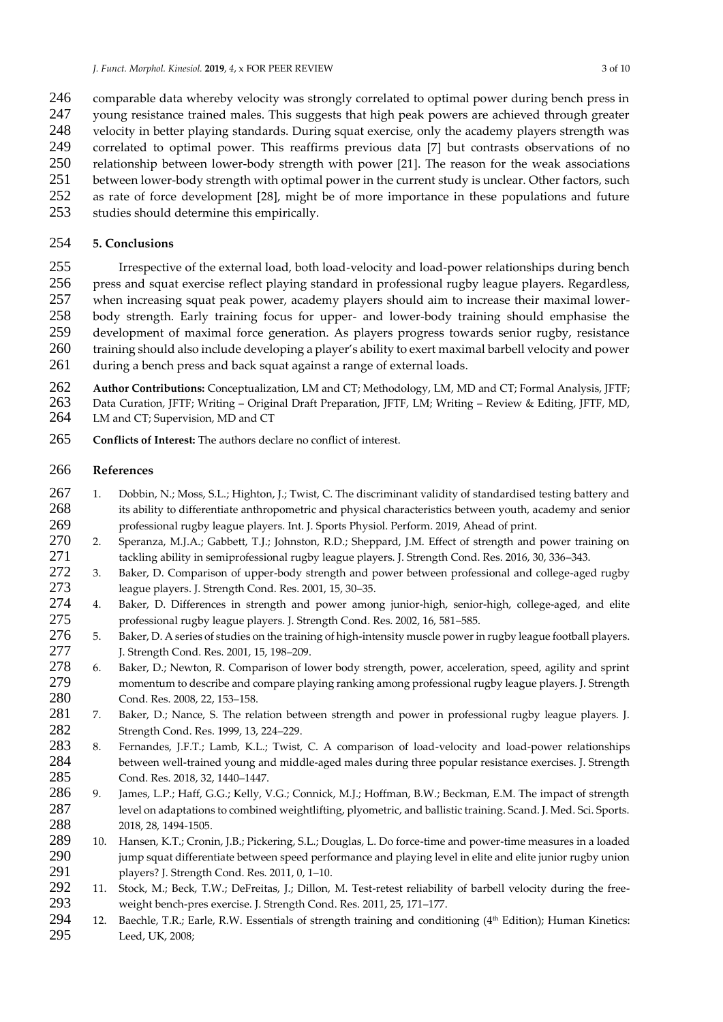- 246 comparable data whereby velocity was strongly correlated to optimal power during bench press in<br>247 voung resistance trained males. This suggests that high peak powers are achieved through greater
- young resistance trained males. This suggests that high peak powers are achieved through greater
- velocity in better playing standards. During squat exercise, only the academy players strength was
- correlated to optimal power. This reaffirms previous data [7] but contrasts observations of no
- relationship between lower-body strength with power [21]. The reason for the weak associations between lower-body strength with optimal power in the current study is unclear. Other factors, such
- as rate of force development [28], might be of more importance in these populations and future
- studies should determine this empirically.

# **5. Conclusions**

 Irrespective of the external load, both load-velocity and load-power relationships during bench press and squat exercise reflect playing standard in professional rugby league players. Regardless, when increasing squat peak power, academy players should aim to increase their maximal lower- body strength. Early training focus for upper- and lower-body training should emphasise the development of maximal force generation. As players progress towards senior rugby, resistance training should also include developing a player's ability to exert maximal barbell velocity and power 261 during a bench press and back squat against a range of external loads.

 **Author Contributions:** Conceptualization, LM and CT; Methodology, LM, MD and CT; Formal Analysis, JFTF; Data Curation, JFTF; Writing – Original Draft Preparation, JFTF, LM; Writing – Review & Editing, JFTF, MD, LM and CT; Supervision, MD and CT

**Conflicts of Interest:** The authors declare no conflict of interest.

# **References**

- 267 1. Dobbin, N.; Moss, S.L.; Highton, J.; Twist, C. The discriminant validity of standardised testing battery and 268 its ability to differentiate anthropometric and physical characteristics between youth, academy and senior professional rugby league players. Int. J. Sports Physiol. Perform. 2019, Ahead of print.
- 2. Speranza, M.J.A.; Gabbett, T.J.; Johnston, R.D.; Sheppard, J.M. Effect of strength and power training on tackling ability in semiprofessional rugby league players. J. Strength Cond. Res. 2016, 30, 336–343.
- 3. Baker, D. Comparison of upper-body strength and power between professional and college-aged rugby league players. J. Strength Cond. Res. 2001, 15, 30–35.
- 4. Baker, D. Differences in strength and power among junior-high, senior-high, college-aged, and elite professional rugby league players. J. Strength Cond. Res. 2002, 16, 581–585.
- 276 5. Baker, D. A series of studies on the training of high-intensity muscle power in rugby league football players. J. Strength Cond. Res. 2001, 15, 198–209.
- 6. Baker, D.; Newton, R. Comparison of lower body strength, power, acceleration, speed, agility and sprint momentum to describe and compare playing ranking among professional rugby league players. J. Strength Cond. Res. 2008, 22, 153–158.
- 7. Baker, D.; Nance, S. The relation between strength and power in professional rugby league players. J. Strength Cond. Res. 1999, 13, 224–229.
- 8. Fernandes, J.F.T.; Lamb, K.L.; Twist, C. A comparison of load-velocity and load-power relationships between well-trained young and middle-aged males during three popular resistance exercises. J. Strength Cond. Res. 2018, 32, 1440–1447.
- 9. James, L.P.; Haff, G.G.; Kelly, V.G.; Connick, M.J.; Hoffman, B.W.; Beckman, E.M. The impact of strength level on adaptations to combined weightlifting, plyometric, and ballistic training. Scand. J. Med. Sci. Sports. 2018, 28, 1494-1505.
- 10. Hansen, K.T.; Cronin, J.B.; Pickering, S.L.; Douglas, L. Do force-time and power-time measures in a loaded jump squat differentiate between speed performance and playing level in elite and elite junior rugby union players? J. Strength Cond. Res. 2011, 0, 1–10.
- 11. Stock, M.; Beck, T.W.; DeFreitas, J.; Dillon, M. Test-retest reliability of barbell velocity during the free-weight bench-pres exercise. J. Strength Cond. Res. 2011, 25, 171–177.
- 294 12. Baechle, T.R.; Earle, R.W. Essentials of strength training and conditioning ( $4<sup>th</sup>$  Edition); Human Kinetics: Leed, UK, 2008;